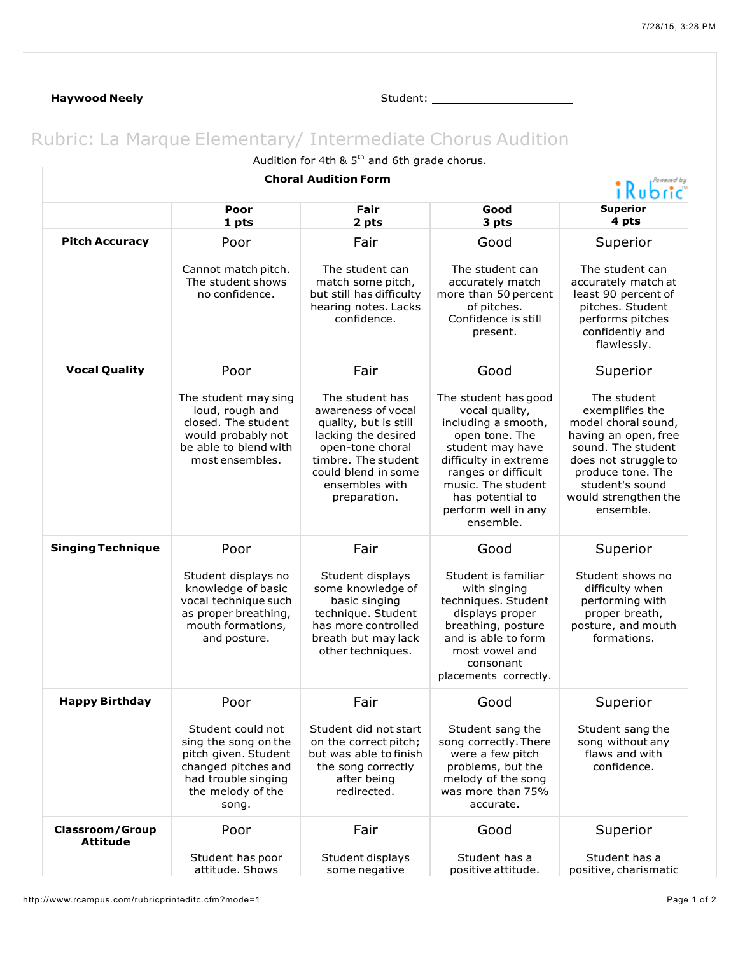## **Haywood Neely New Student:** Student: 2008 **New Student:** 2008 2014 2014 2022 2023 2024 2022 2023 2024 2022 2023

## Rubric: La Marque Elementary/ Intermediate Chorus Audition

| Audition for 4th & 5 <sup>th</sup> and 6th grade chorus.   |                                                                                                                                               |                                                                                                                                                                                           |                                                                                                                                                                                                                                   |                                                                                                                                                                                                          |  |  |  |
|------------------------------------------------------------|-----------------------------------------------------------------------------------------------------------------------------------------------|-------------------------------------------------------------------------------------------------------------------------------------------------------------------------------------------|-----------------------------------------------------------------------------------------------------------------------------------------------------------------------------------------------------------------------------------|----------------------------------------------------------------------------------------------------------------------------------------------------------------------------------------------------------|--|--|--|
| <b>Choral Audition Form</b><br>Pawered by<br><b>Kubric</b> |                                                                                                                                               |                                                                                                                                                                                           |                                                                                                                                                                                                                                   |                                                                                                                                                                                                          |  |  |  |
|                                                            | Poor<br>1 pts                                                                                                                                 | Fair<br>2 pts                                                                                                                                                                             | Good<br>3 pts                                                                                                                                                                                                                     | <b>Superior</b><br>4 pts                                                                                                                                                                                 |  |  |  |
| <b>Pitch Accuracy</b>                                      | Poor                                                                                                                                          | Fair                                                                                                                                                                                      | Good                                                                                                                                                                                                                              | Superior                                                                                                                                                                                                 |  |  |  |
|                                                            | Cannot match pitch.<br>The student shows<br>no confidence.                                                                                    | The student can<br>match some pitch,<br>but still has difficulty<br>hearing notes. Lacks<br>confidence.                                                                                   | The student can<br>accurately match<br>more than 50 percent<br>of pitches.<br>Confidence is still<br>present.                                                                                                                     | The student can<br>accurately match at<br>least 90 percent of<br>pitches. Student<br>performs pitches<br>confidently and<br>flawlessly.                                                                  |  |  |  |
| <b>Vocal Quality</b>                                       | Poor                                                                                                                                          | Fair                                                                                                                                                                                      | Good                                                                                                                                                                                                                              | Superior                                                                                                                                                                                                 |  |  |  |
|                                                            | The student may sing<br>loud, rough and<br>closed. The student<br>would probably not<br>be able to blend with<br>most ensembles.              | The student has<br>awareness of vocal<br>quality, but is still<br>lacking the desired<br>open-tone choral<br>timbre. The student<br>could blend in some<br>ensembles with<br>preparation. | The student has good<br>vocal quality,<br>including a smooth,<br>open tone. The<br>student may have<br>difficulty in extreme<br>ranges or difficult<br>music. The student<br>has potential to<br>perform well in any<br>ensemble. | The student<br>exemplifies the<br>model choral sound,<br>having an open, free<br>sound. The student<br>does not struggle to<br>produce tone. The<br>student's sound<br>would strengthen the<br>ensemble. |  |  |  |
| <b>Singing Technique</b>                                   | Poor                                                                                                                                          | Fair                                                                                                                                                                                      | Good                                                                                                                                                                                                                              | Superior                                                                                                                                                                                                 |  |  |  |
|                                                            | Student displays no<br>knowledge of basic<br>vocal technique such<br>as proper breathing,<br>mouth formations,<br>and posture.                | Student displays<br>some knowledge of<br>basic singing<br>technique. Student<br>has more controlled<br>breath but may lack<br>other techniques.                                           | Student is familiar<br>with singing<br>techniques. Student<br>displays proper<br>breathing, posture<br>and is able to form<br>most vowel and<br>consonant<br>placements correctly.                                                | Student shows no<br>difficulty when<br>performing with<br>proper breath,<br>posture, and mouth<br>formations.                                                                                            |  |  |  |
| <b>Happy Birthday</b>                                      | Poor                                                                                                                                          | Fair                                                                                                                                                                                      | Good                                                                                                                                                                                                                              | Superior                                                                                                                                                                                                 |  |  |  |
|                                                            | Student could not<br>sing the song on the<br>pitch given. Student<br>changed pitches and<br>had trouble singing<br>the melody of the<br>song. | Student did not start<br>on the correct pitch;<br>but was able to finish<br>the song correctly<br>after being<br>redirected.                                                              | Student sang the<br>song correctly. There<br>were a few pitch<br>problems, but the<br>melody of the song<br>was more than 75%<br>accurate.                                                                                        | Student sang the<br>song without any<br>flaws and with<br>confidence.                                                                                                                                    |  |  |  |
| <b>Classroom/Group</b><br><b>Attitude</b>                  | Poor                                                                                                                                          | Fair                                                                                                                                                                                      | Good                                                                                                                                                                                                                              | Superior                                                                                                                                                                                                 |  |  |  |
|                                                            | Student has poor<br>attitude. Shows                                                                                                           | Student displays<br>some negative                                                                                                                                                         | Student has a<br>positive attitude.                                                                                                                                                                                               | Student has a<br>positive, charismatic                                                                                                                                                                   |  |  |  |